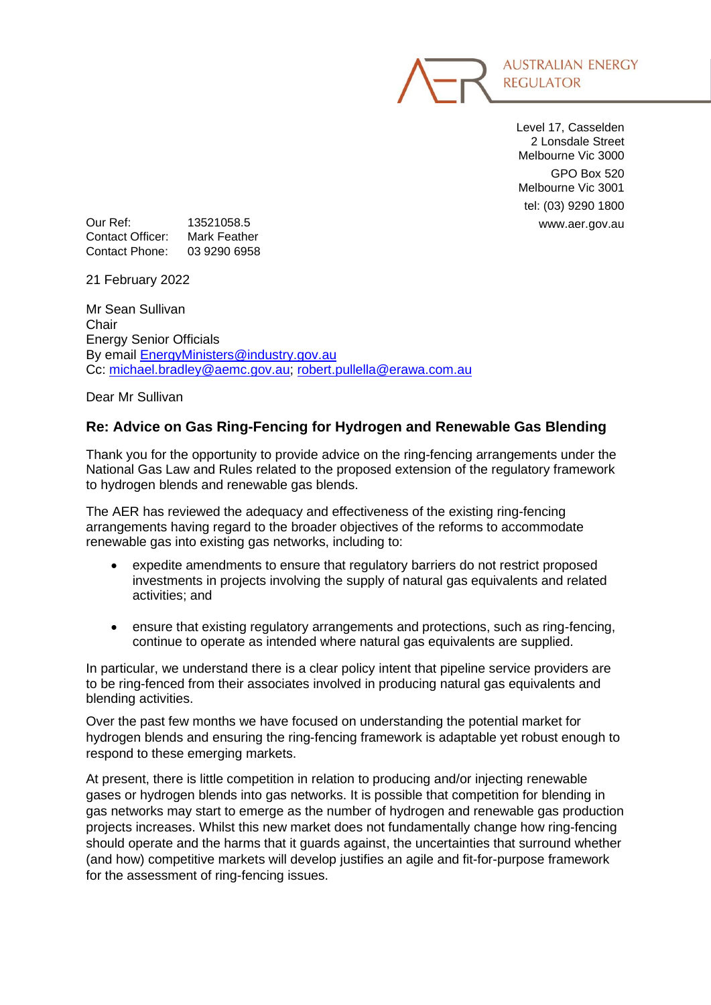

Level 17, Casselden 2 Lonsdale Street Melbourne Vic 3000 GPO Box 520 Melbourne Vic 3001 tel: (03) 9290 1800

Our Ref: 13521058.5 www.aer.gov.au Contact Officer: Mark Feather Contact Phone: 03 9290 6958

21 February 2022

Mr Sean Sullivan **Chair** Energy Senior Officials By email [EnergyMinisters@industry.gov.au](mailto:EnergyMinisters@industry.gov.au) Cc: [michael.bradley@aemc.gov.au;](mailto:michael.bradley@aemc.gov.au) [robert.pullella@erawa.com.au](mailto:robert.pullella@erawa.com.au)

Dear Mr Sullivan

### **Re: Advice on Gas Ring-Fencing for Hydrogen and Renewable Gas Blending**

Thank you for the opportunity to provide advice on the ring-fencing arrangements under the National Gas Law and Rules related to the proposed extension of the regulatory framework to hydrogen blends and renewable gas blends.

The AER has reviewed the adequacy and effectiveness of the existing ring-fencing arrangements having regard to the broader objectives of the reforms to accommodate renewable gas into existing gas networks, including to:

- expedite amendments to ensure that regulatory barriers do not restrict proposed investments in projects involving the supply of natural gas equivalents and related activities; and
- ensure that existing regulatory arrangements and protections, such as ring-fencing, continue to operate as intended where natural gas equivalents are supplied.

In particular, we understand there is a clear policy intent that pipeline service providers are to be ring-fenced from their associates involved in producing natural gas equivalents and blending activities.

Over the past few months we have focused on understanding the potential market for hydrogen blends and ensuring the ring-fencing framework is adaptable yet robust enough to respond to these emerging markets.

At present, there is little competition in relation to producing and/or injecting renewable gases or hydrogen blends into gas networks. It is possible that competition for blending in gas networks may start to emerge as the number of hydrogen and renewable gas production projects increases. Whilst this new market does not fundamentally change how ring-fencing should operate and the harms that it guards against, the uncertainties that surround whether (and how) competitive markets will develop justifies an agile and fit-for-purpose framework for the assessment of ring-fencing issues.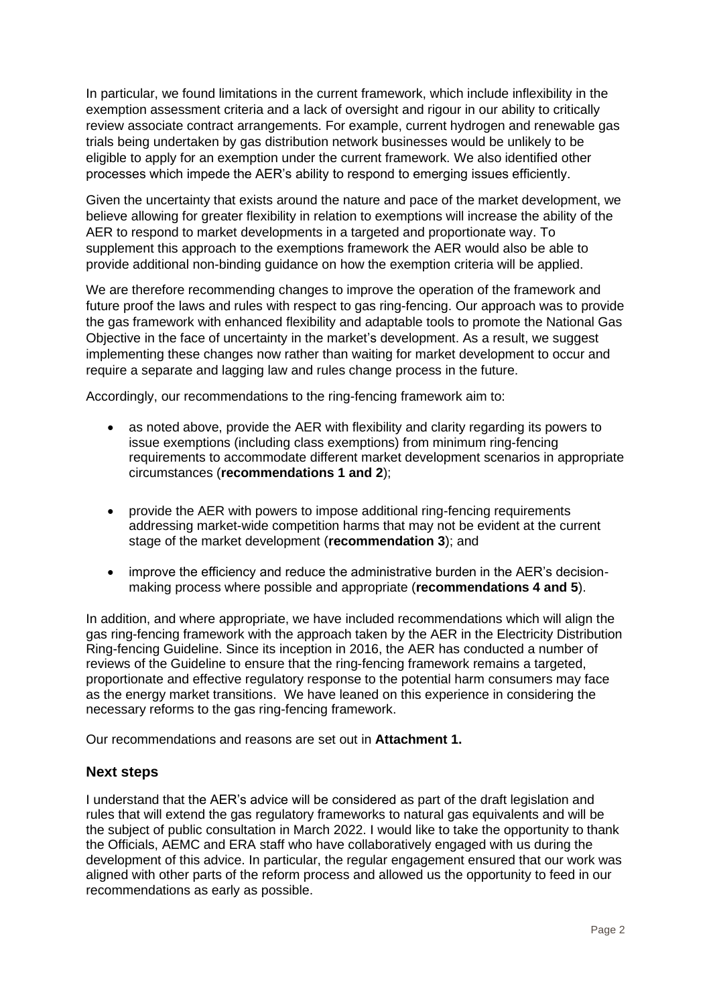In particular, we found limitations in the current framework, which include inflexibility in the exemption assessment criteria and a lack of oversight and rigour in our ability to critically review associate contract arrangements. For example, current hydrogen and renewable gas trials being undertaken by gas distribution network businesses would be unlikely to be eligible to apply for an exemption under the current framework. We also identified other processes which impede the AER's ability to respond to emerging issues efficiently.

Given the uncertainty that exists around the nature and pace of the market development, we believe allowing for greater flexibility in relation to exemptions will increase the ability of the AER to respond to market developments in a targeted and proportionate way. To supplement this approach to the exemptions framework the AER would also be able to provide additional non-binding guidance on how the exemption criteria will be applied.

We are therefore recommending changes to improve the operation of the framework and future proof the laws and rules with respect to gas ring-fencing. Our approach was to provide the gas framework with enhanced flexibility and adaptable tools to promote the National Gas Objective in the face of uncertainty in the market's development. As a result, we suggest implementing these changes now rather than waiting for market development to occur and require a separate and lagging law and rules change process in the future.

Accordingly, our recommendations to the ring-fencing framework aim to:

- as noted above, provide the AER with flexibility and clarity regarding its powers to issue exemptions (including class exemptions) from minimum ring-fencing requirements to accommodate different market development scenarios in appropriate circumstances (**recommendations 1 and 2**);
- provide the AER with powers to impose additional ring-fencing requirements addressing market-wide competition harms that may not be evident at the current stage of the market development (**recommendation 3**); and
- improve the efficiency and reduce the administrative burden in the AER's decisionmaking process where possible and appropriate (**recommendations 4 and 5**).

In addition, and where appropriate, we have included recommendations which will align the gas ring-fencing framework with the approach taken by the AER in the Electricity Distribution Ring-fencing Guideline. Since its inception in 2016, the AER has conducted a number of reviews of the Guideline to ensure that the ring-fencing framework remains a targeted, proportionate and effective regulatory response to the potential harm consumers may face as the energy market transitions. We have leaned on this experience in considering the necessary reforms to the gas ring-fencing framework.

Our recommendations and reasons are set out in **Attachment 1.**

### **Next steps**

I understand that the AER's advice will be considered as part of the draft legislation and rules that will extend the gas regulatory frameworks to natural gas equivalents and will be the subject of public consultation in March 2022. I would like to take the opportunity to thank the Officials, AEMC and ERA staff who have collaboratively engaged with us during the development of this advice. In particular, the regular engagement ensured that our work was aligned with other parts of the reform process and allowed us the opportunity to feed in our recommendations as early as possible.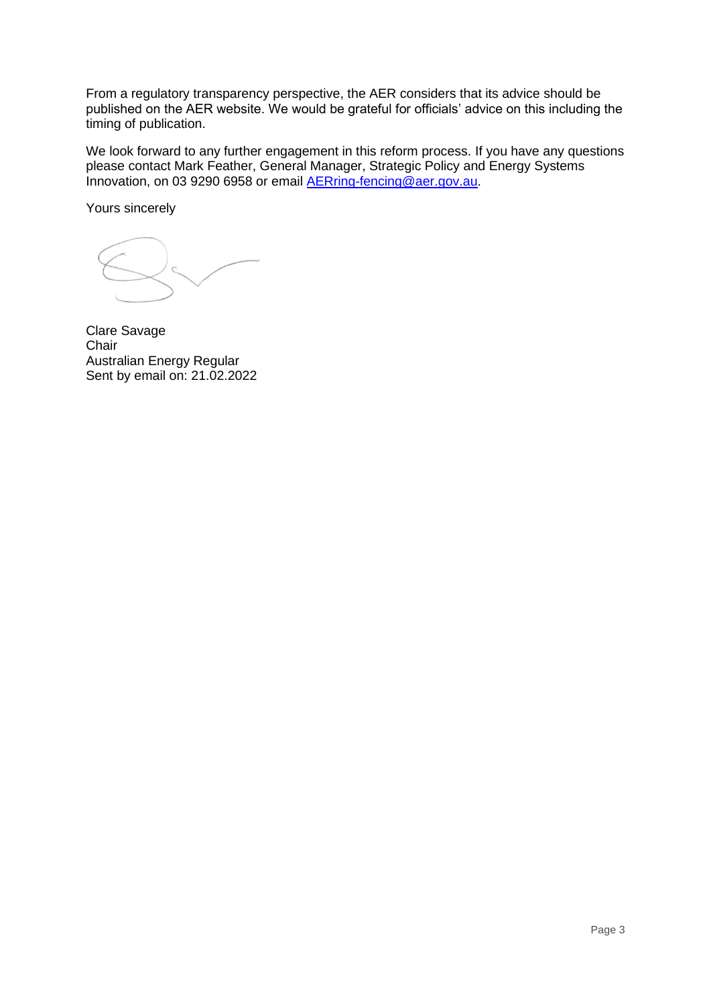From a regulatory transparency perspective, the AER considers that its advice should be published on the AER website. We would be grateful for officials' advice on this including the timing of publication.

We look forward to any further engagement in this reform process. If you have any questions please contact Mark Feather, General Manager, Strategic Policy and Energy Systems Innovation, on 03 9290 6958 or email [AERring-fencing@aer.gov.au.](mailto:AERring-fencing@aer.gov.au)

Yours sincerely

Clare Savage **Chair** Australian Energy Regular Sent by email on: 21.02.2022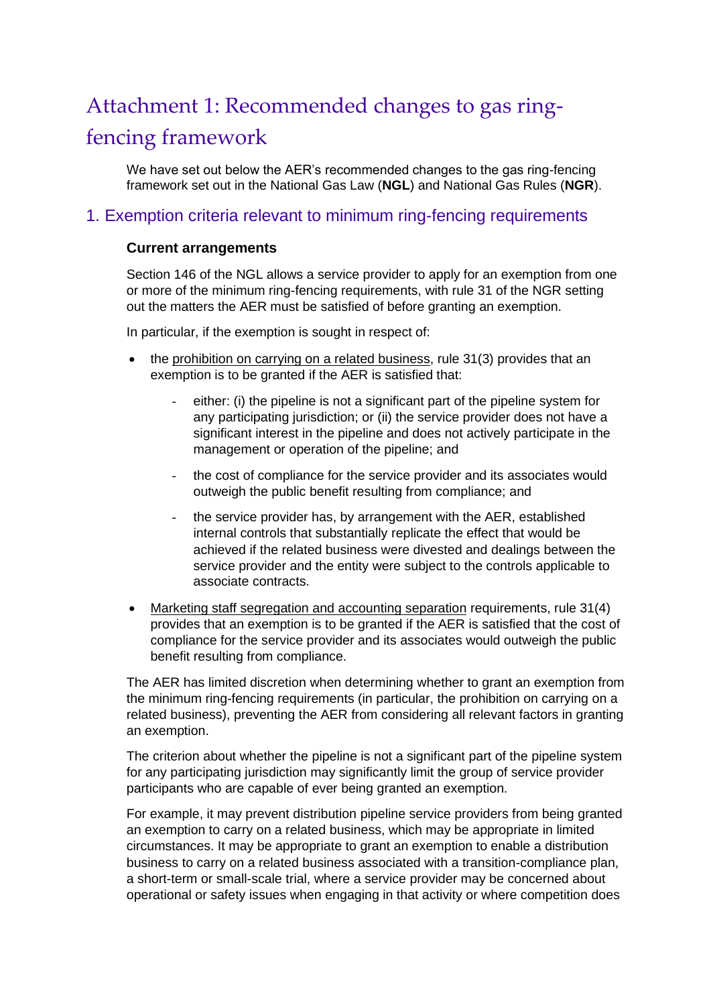# Attachment 1: Recommended changes to gas ringfencing framework

We have set out below the AER's recommended changes to the gas ring-fencing framework set out in the National Gas Law (**NGL**) and National Gas Rules (**NGR**).

## 1. Exemption criteria relevant to minimum ring-fencing requirements

### **Current arrangements**

Section 146 of the NGL allows a service provider to apply for an exemption from one or more of the minimum ring-fencing requirements, with rule 31 of the NGR setting out the matters the AER must be satisfied of before granting an exemption.

In particular, if the exemption is sought in respect of:

- the prohibition on carrying on a related business, rule 31(3) provides that an exemption is to be granted if the AER is satisfied that:
	- either: (i) the pipeline is not a significant part of the pipeline system for any participating jurisdiction; or (ii) the service provider does not have a significant interest in the pipeline and does not actively participate in the management or operation of the pipeline; and
	- the cost of compliance for the service provider and its associates would outweigh the public benefit resulting from compliance; and
	- the service provider has, by arrangement with the AER, established internal controls that substantially replicate the effect that would be achieved if the related business were divested and dealings between the service provider and the entity were subject to the controls applicable to associate contracts.
- Marketing staff segregation and accounting separation requirements, rule 31(4) provides that an exemption is to be granted if the AER is satisfied that the cost of compliance for the service provider and its associates would outweigh the public benefit resulting from compliance.

The AER has limited discretion when determining whether to grant an exemption from the minimum ring-fencing requirements (in particular, the prohibition on carrying on a related business), preventing the AER from considering all relevant factors in granting an exemption.

The criterion about whether the pipeline is not a significant part of the pipeline system for any participating jurisdiction may significantly limit the group of service provider participants who are capable of ever being granted an exemption.

For example, it may prevent distribution pipeline service providers from being granted an exemption to carry on a related business, which may be appropriate in limited circumstances. It may be appropriate to grant an exemption to enable a distribution business to carry on a related business associated with a transition-compliance plan, a short-term or small-scale trial, where a service provider may be concerned about operational or safety issues when engaging in that activity or where competition does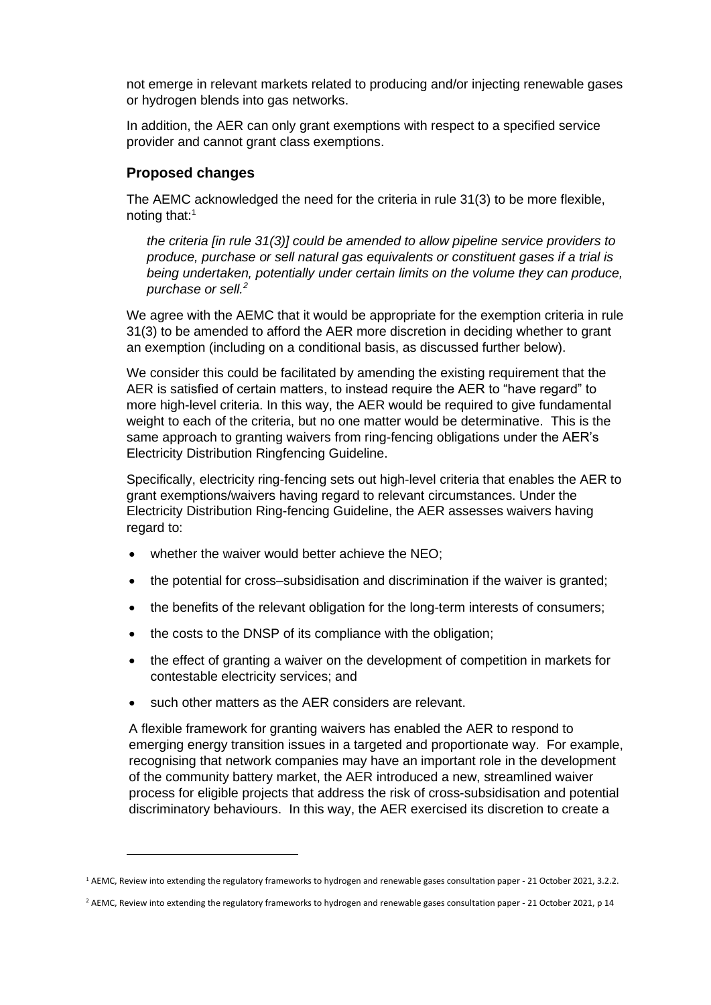not emerge in relevant markets related to producing and/or injecting renewable gases or hydrogen blends into gas networks.

In addition, the AER can only grant exemptions with respect to a specified service provider and cannot grant class exemptions.

#### **Proposed changes**

The AEMC acknowledged the need for the criteria in rule 31(3) to be more flexible, noting that:<sup>1</sup>

*the criteria [in rule 31(3)] could be amended to allow pipeline service providers to produce, purchase or sell natural gas equivalents or constituent gases if a trial is being undertaken, potentially under certain limits on the volume they can produce, purchase or sell.<sup>2</sup>*

We agree with the AEMC that it would be appropriate for the exemption criteria in rule 31(3) to be amended to afford the AER more discretion in deciding whether to grant an exemption (including on a conditional basis, as discussed further below).

We consider this could be facilitated by amending the existing requirement that the AER is satisfied of certain matters, to instead require the AER to "have regard" to more high-level criteria. In this way, the AER would be required to give fundamental weight to each of the criteria, but no one matter would be determinative. This is the same approach to granting waivers from ring-fencing obligations under the AER's Electricity Distribution Ringfencing Guideline.

Specifically, electricity ring-fencing sets out high-level criteria that enables the AER to grant exemptions/waivers having regard to relevant circumstances. Under the Electricity Distribution Ring-fencing Guideline, the AER assesses waivers having regard to:

- whether the waiver would better achieve the NEO;
- the potential for cross–subsidisation and discrimination if the waiver is granted;
- the benefits of the relevant obligation for the long-term interests of consumers;
- the costs to the DNSP of its compliance with the obligation;
- the effect of granting a waiver on the development of competition in markets for contestable electricity services; and
- such other matters as the AER considers are relevant.

A flexible framework for granting waivers has enabled the AER to respond to emerging energy transition issues in a targeted and proportionate way. For example, recognising that network companies may have an important role in the development of the community battery market, the AER introduced a new, streamlined waiver process for eligible projects that address the risk of cross-subsidisation and potential discriminatory behaviours. In this way, the AER exercised its discretion to create a

<sup>1</sup> AEMC, Review into extending the regulatory frameworks to hydrogen and renewable gases consultation paper - 21 October 2021, 3.2.2.

<sup>&</sup>lt;sup>2</sup> AEMC, Review into extending the regulatory frameworks to hydrogen and renewable gases consultation paper - 21 October 2021, p 14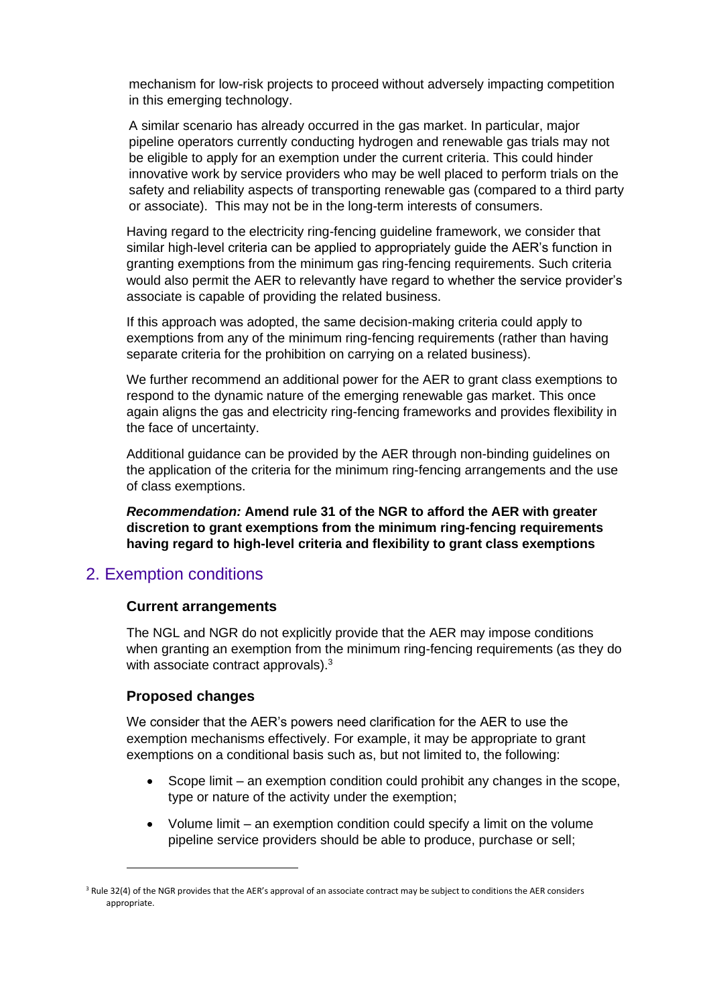mechanism for low-risk projects to proceed without adversely impacting competition in this emerging technology.

A similar scenario has already occurred in the gas market. In particular, major pipeline operators currently conducting hydrogen and renewable gas trials may not be eligible to apply for an exemption under the current criteria. This could hinder innovative work by service providers who may be well placed to perform trials on the safety and reliability aspects of transporting renewable gas (compared to a third party or associate). This may not be in the long-term interests of consumers.

Having regard to the electricity ring-fencing guideline framework, we consider that similar high-level criteria can be applied to appropriately guide the AER's function in granting exemptions from the minimum gas ring-fencing requirements. Such criteria would also permit the AER to relevantly have regard to whether the service provider's associate is capable of providing the related business.

If this approach was adopted, the same decision-making criteria could apply to exemptions from any of the minimum ring-fencing requirements (rather than having separate criteria for the prohibition on carrying on a related business).

We further recommend an additional power for the AER to grant class exemptions to respond to the dynamic nature of the emerging renewable gas market. This once again aligns the gas and electricity ring-fencing frameworks and provides flexibility in the face of uncertainty.

Additional guidance can be provided by the AER through non-binding guidelines on the application of the criteria for the minimum ring-fencing arrangements and the use of class exemptions.

*Recommendation:* **Amend rule 31 of the NGR to afford the AER with greater discretion to grant exemptions from the minimum ring-fencing requirements having regard to high-level criteria and flexibility to grant class exemptions**

### 2. Exemption conditions

### **Current arrangements**

The NGL and NGR do not explicitly provide that the AER may impose conditions when granting an exemption from the minimum ring-fencing requirements (as they do with associate contract approvals).<sup>3</sup>

### **Proposed changes**

We consider that the AER's powers need clarification for the AER to use the exemption mechanisms effectively. For example, it may be appropriate to grant exemptions on a conditional basis such as, but not limited to, the following:

- Scope limit an exemption condition could prohibit any changes in the scope, type or nature of the activity under the exemption;
- Volume limit an exemption condition could specify a limit on the volume pipeline service providers should be able to produce, purchase or sell;

<sup>&</sup>lt;sup>3</sup> Rule 32(4) of the NGR provides that the AER's approval of an associate contract may be subject to conditions the AER considers appropriate.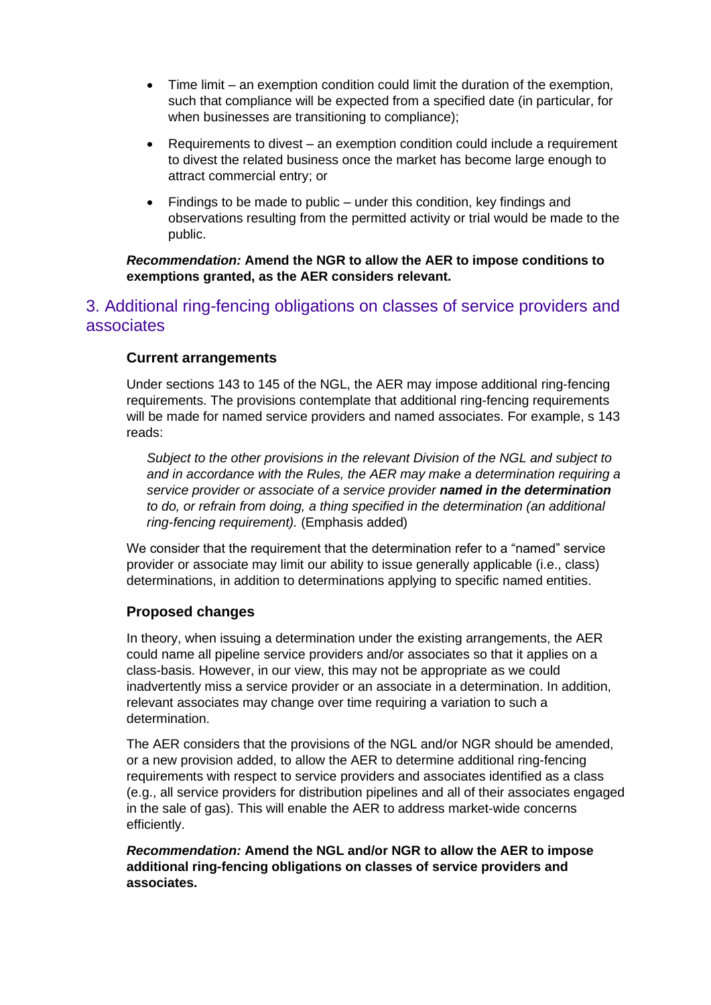- Time limit an exemption condition could limit the duration of the exemption, such that compliance will be expected from a specified date (in particular, for when businesses are transitioning to compliance);
- Requirements to divest an exemption condition could include a requirement to divest the related business once the market has become large enough to attract commercial entry; or
- Findings to be made to public under this condition, key findings and observations resulting from the permitted activity or trial would be made to the public.

### *Recommendation:* **Amend the NGR to allow the AER to impose conditions to exemptions granted, as the AER considers relevant.**

# 3. Additional ring-fencing obligations on classes of service providers and associates

### **Current arrangements**

Under sections 143 to 145 of the NGL, the AER may impose additional ring-fencing requirements. The provisions contemplate that additional ring-fencing requirements will be made for named service providers and named associates. For example, s 143 reads:

*Subject to the other provisions in the relevant Division of the NGL and subject to and in accordance with the Rules, the AER may make a determination requiring a service provider or associate of a service provider named in the determination to do, or refrain from doing, a thing specified in the determination (an additional ring-fencing requirement).* (Emphasis added)

We consider that the requirement that the determination refer to a "named" service provider or associate may limit our ability to issue generally applicable (i.e., class) determinations, in addition to determinations applying to specific named entities.

### **Proposed changes**

In theory, when issuing a determination under the existing arrangements, the AER could name all pipeline service providers and/or associates so that it applies on a class-basis. However, in our view, this may not be appropriate as we could inadvertently miss a service provider or an associate in a determination. In addition, relevant associates may change over time requiring a variation to such a determination.

The AER considers that the provisions of the NGL and/or NGR should be amended, or a new provision added, to allow the AER to determine additional ring-fencing requirements with respect to service providers and associates identified as a class (e.g., all service providers for distribution pipelines and all of their associates engaged in the sale of gas). This will enable the AER to address market-wide concerns efficiently.

*Recommendation:* **Amend the NGL and/or NGR to allow the AER to impose additional ring-fencing obligations on classes of service providers and associates.**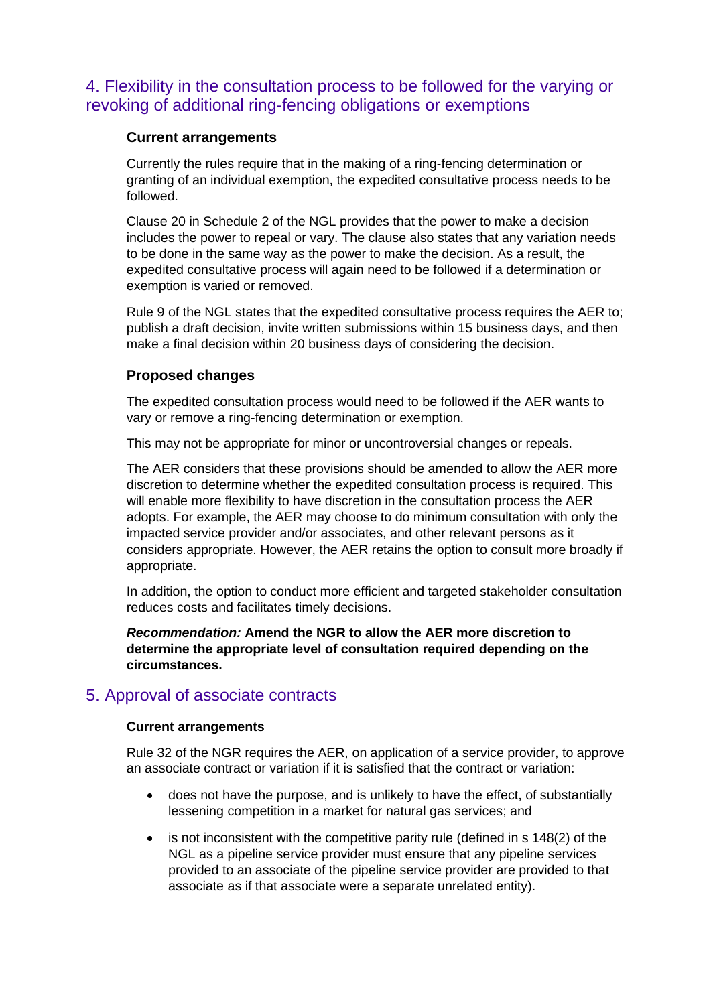# 4. Flexibility in the consultation process to be followed for the varying or revoking of additional ring-fencing obligations or exemptions

### **Current arrangements**

Currently the rules require that in the making of a ring-fencing determination or granting of an individual exemption, the expedited consultative process needs to be followed.

Clause 20 in Schedule 2 of the NGL provides that the power to make a decision includes the power to repeal or vary. The clause also states that any variation needs to be done in the same way as the power to make the decision. As a result, the expedited consultative process will again need to be followed if a determination or exemption is varied or removed.

Rule 9 of the NGL states that the expedited consultative process requires the AER to; publish a draft decision, invite written submissions within 15 business days, and then make a final decision within 20 business days of considering the decision.

### **Proposed changes**

The expedited consultation process would need to be followed if the AER wants to vary or remove a ring-fencing determination or exemption.

This may not be appropriate for minor or uncontroversial changes or repeals.

The AER considers that these provisions should be amended to allow the AER more discretion to determine whether the expedited consultation process is required. This will enable more flexibility to have discretion in the consultation process the AER adopts. For example, the AER may choose to do minimum consultation with only the impacted service provider and/or associates, and other relevant persons as it considers appropriate. However, the AER retains the option to consult more broadly if appropriate.

In addition, the option to conduct more efficient and targeted stakeholder consultation reduces costs and facilitates timely decisions.

*Recommendation:* **Amend the NGR to allow the AER more discretion to determine the appropriate level of consultation required depending on the circumstances.**

### 5. Approval of associate contracts

### **Current arrangements**

Rule 32 of the NGR requires the AER, on application of a service provider, to approve an associate contract or variation if it is satisfied that the contract or variation:

- does not have the purpose, and is unlikely to have the effect, of substantially lessening competition in a market for natural gas services; and
- is not inconsistent with the competitive parity rule (defined in s 148(2) of the NGL as a pipeline service provider must ensure that any pipeline services provided to an associate of the pipeline service provider are provided to that associate as if that associate were a separate unrelated entity).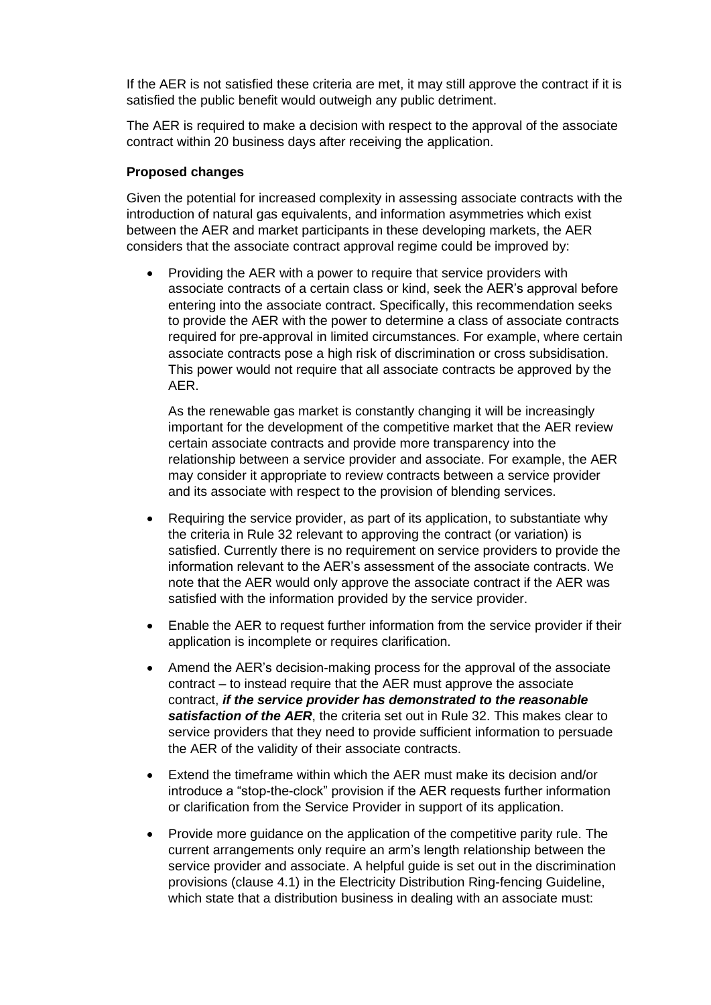If the AER is not satisfied these criteria are met, it may still approve the contract if it is satisfied the public benefit would outweigh any public detriment.

The AER is required to make a decision with respect to the approval of the associate contract within 20 business days after receiving the application.

#### **Proposed changes**

Given the potential for increased complexity in assessing associate contracts with the introduction of natural gas equivalents, and information asymmetries which exist between the AER and market participants in these developing markets, the AER considers that the associate contract approval regime could be improved by:

• Providing the AER with a power to require that service providers with associate contracts of a certain class or kind, seek the AER's approval before entering into the associate contract. Specifically, this recommendation seeks to provide the AER with the power to determine a class of associate contracts required for pre-approval in limited circumstances. For example, where certain associate contracts pose a high risk of discrimination or cross subsidisation. This power would not require that all associate contracts be approved by the AER.

As the renewable gas market is constantly changing it will be increasingly important for the development of the competitive market that the AER review certain associate contracts and provide more transparency into the relationship between a service provider and associate. For example, the AER may consider it appropriate to review contracts between a service provider and its associate with respect to the provision of blending services.

- Requiring the service provider, as part of its application, to substantiate why the criteria in Rule 32 relevant to approving the contract (or variation) is satisfied. Currently there is no requirement on service providers to provide the information relevant to the AER's assessment of the associate contracts. We note that the AER would only approve the associate contract if the AER was satisfied with the information provided by the service provider.
- Enable the AER to request further information from the service provider if their application is incomplete or requires clarification.
- Amend the AER's decision-making process for the approval of the associate contract – to instead require that the AER must approve the associate contract, *if the service provider has demonstrated to the reasonable satisfaction of the AER*, the criteria set out in Rule 32. This makes clear to service providers that they need to provide sufficient information to persuade the AER of the validity of their associate contracts.
- Extend the timeframe within which the AER must make its decision and/or introduce a "stop-the-clock" provision if the AER requests further information or clarification from the Service Provider in support of its application.
- Provide more guidance on the application of the competitive parity rule. The current arrangements only require an arm's length relationship between the service provider and associate. A helpful guide is set out in the discrimination provisions (clause 4.1) in the Electricity Distribution Ring-fencing Guideline, which state that a distribution business in dealing with an associate must: